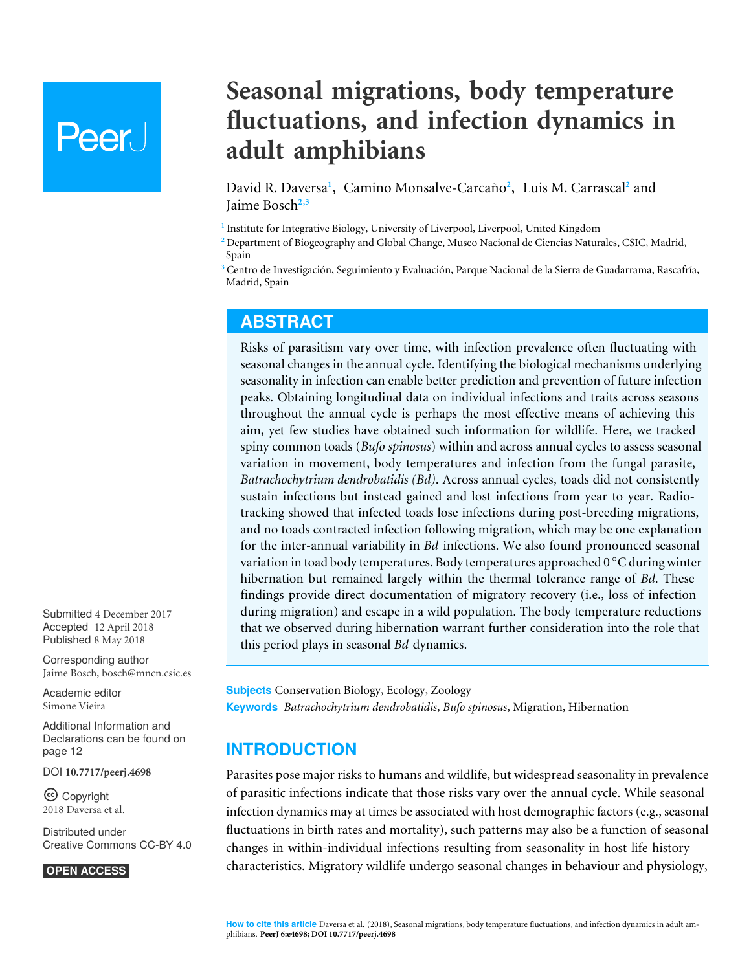# Peer.

# **Seasonal migrations, body temperature fluctuations, and infection dynamics in adult amphibians**

<span id="page-0-6"></span><span id="page-0-5"></span><span id="page-0-4"></span><span id="page-0-3"></span>David R. Daversa**[1](#page-0-0)** , Camino Monsalve-Carcaño**[2](#page-0-1)** , Luis M. Carrascal**[2](#page-0-1)** and Jaime Bosch**[2](#page-0-1)**,**[3](#page-0-2)**

<span id="page-0-0"></span>**1** Institute for Integrative Biology, University of Liverpool, Liverpool, United Kingdom

<span id="page-0-1"></span>**<sup>2</sup>** Department of Biogeography and Global Change, Museo Nacional de Ciencias Naturales, CSIC, Madrid, Spain

<span id="page-0-2"></span>**<sup>3</sup>** Centro de Investigación, Seguimiento y Evaluación, Parque Nacional de la Sierra de Guadarrama, Rascafría, Madrid, Spain

# **ABSTRACT**

Risks of parasitism vary over time, with infection prevalence often fluctuating with seasonal changes in the annual cycle. Identifying the biological mechanisms underlying seasonality in infection can enable better prediction and prevention of future infection peaks. Obtaining longitudinal data on individual infections and traits across seasons throughout the annual cycle is perhaps the most effective means of achieving this aim, yet few studies have obtained such information for wildlife. Here, we tracked spiny common toads (*Bufo spinosus*) within and across annual cycles to assess seasonal variation in movement, body temperatures and infection from the fungal parasite, *Batrachochytrium dendrobatidis (Bd)*. Across annual cycles, toads did not consistently sustain infections but instead gained and lost infections from year to year. Radiotracking showed that infected toads lose infections during post-breeding migrations, and no toads contracted infection following migration, which may be one explanation for the inter-annual variability in *Bd* infections. We also found pronounced seasonal variation in toad body temperatures. Body temperatures approached 0 ◦C during winter hibernation but remained largely within the thermal tolerance range of *Bd*. These findings provide direct documentation of migratory recovery (i.e., loss of infection during migration) and escape in a wild population. The body temperature reductions that we observed during hibernation warrant further consideration into the role that this period plays in seasonal *Bd* dynamics.

**Subjects** Conservation Biology, Ecology, Zoology **Keywords** *Batrachochytrium dendrobatidis*, *Bufo spinosus*, Migration, Hibernation

# **INTRODUCTION**

Parasites pose major risks to humans and wildlife, but widespread seasonality in prevalence of parasitic infections indicate that those risks vary over the annual cycle. While seasonal infection dynamics may at times be associated with host demographic factors (e.g., seasonal fluctuations in birth rates and mortality), such patterns may also be a function of seasonal changes in within-individual infections resulting from seasonality in host life history characteristics. Migratory wildlife undergo seasonal changes in behaviour and physiology,

Submitted 4 December 2017 Accepted 12 April 2018 Published 8 May 2018

Corresponding author Jaime Bosch, [bosch@mncn.csic.es](mailto:bosch@mncn.csic.es)

[Academic editor](https://peerj.com/academic-boards/editors/) [Simone Vieira](https://peerj.com/academic-boards/editors/)

[Additional Information and](#page-11-0) [Declarations can be found on](#page-11-0) [page 12](#page-11-0)

DOI **[10.7717/peerj.4698](http://dx.doi.org/10.7717/peerj.4698)**

Ccopyright 2018 Daversa et al.

[Distributed under](http://creativecommons.org/licenses/by/4.0/) [Creative Commons CC-BY 4.0](http://creativecommons.org/licenses/by/4.0/)

**OPEN ACCESS**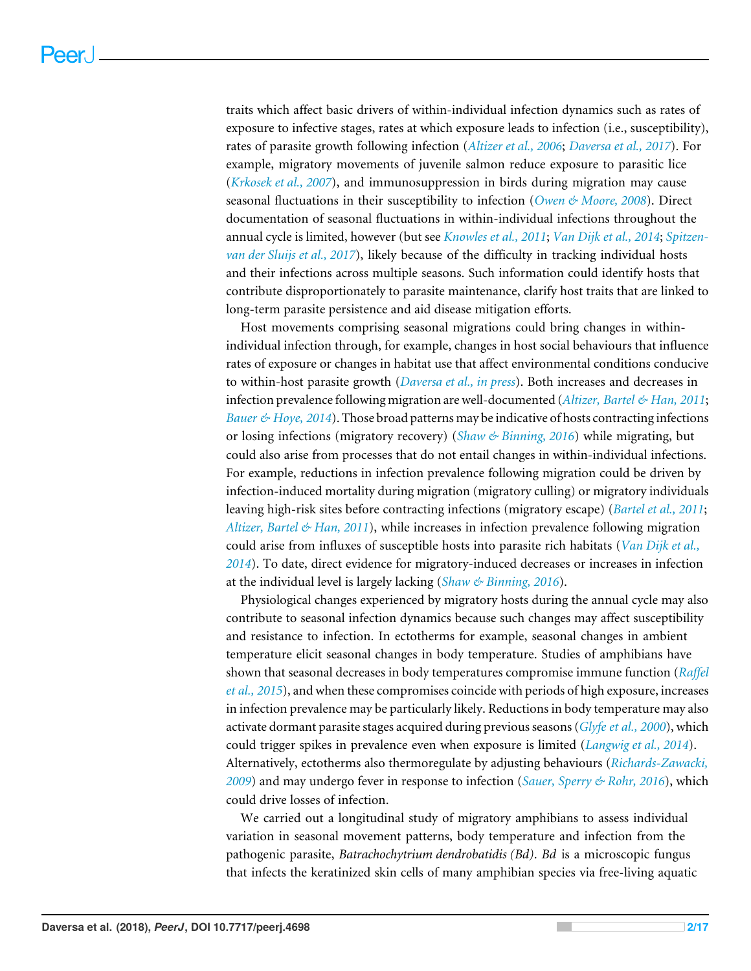traits which affect basic drivers of within-individual infection dynamics such as rates of exposure to infective stages, rates at which exposure leads to infection (i.e., susceptibility), rates of parasite growth following infection (*[Altizer et al., 2006](#page-12-0)*; *[Daversa et al., 2017](#page-13-0)*). For example, migratory movements of juvenile salmon reduce exposure to parasitic lice (*[Krkosek et al., 2007](#page-14-0)*), and immunosuppression in birds during migration may cause seasonal fluctuations in their susceptibility to infection (*[Owen & Moore, 2008](#page-15-0)*). Direct documentation of seasonal fluctuations in within-individual infections throughout the annual cycle is limited, however (but see *[Knowles et al., 2011](#page-14-1)*; *[Van Dijk et al., 2014](#page-16-0)*; *[Spitzen](#page-15-1)[van der Sluijs et al., 2017](#page-15-1)*), likely because of the difficulty in tracking individual hosts and their infections across multiple seasons. Such information could identify hosts that contribute disproportionately to parasite maintenance, clarify host traits that are linked to long-term parasite persistence and aid disease mitigation efforts.

Host movements comprising seasonal migrations could bring changes in withinindividual infection through, for example, changes in host social behaviours that influence rates of exposure or changes in habitat use that affect environmental conditions conducive to within-host parasite growth (*[Daversa et al., in press](#page-13-1)*). Both increases and decreases in infection prevalence following migration are well-documented (*[Altizer, Bartel & Han, 2011](#page-12-1)*; *[Bauer & Hoye, 2014](#page-13-2)*). Those broad patterns may be indicative of hosts contracting infections or losing infections (migratory recovery) (*[Shaw & Binning, 2016](#page-15-2)*) while migrating, but could also arise from processes that do not entail changes in within-individual infections. For example, reductions in infection prevalence following migration could be driven by infection-induced mortality during migration (migratory culling) or migratory individuals leaving high-risk sites before contracting infections (migratory escape) (*[Bartel et al., 2011](#page-13-3)*; *[Altizer, Bartel & Han, 2011](#page-12-1)*), while increases in infection prevalence following migration could arise from influxes of susceptible hosts into parasite rich habitats (*[Van Dijk et al.,](#page-16-0) [2014](#page-16-0)*). To date, direct evidence for migratory-induced decreases or increases in infection at the individual level is largely lacking (*[Shaw & Binning, 2016](#page-15-2)*).

Physiological changes experienced by migratory hosts during the annual cycle may also contribute to seasonal infection dynamics because such changes may affect susceptibility and resistance to infection. In ectotherms for example, seasonal changes in ambient temperature elicit seasonal changes in body temperature. Studies of amphibians have shown that seasonal decreases in body temperatures compromise immune function (*[Raffel](#page-15-3) [et al., 2015](#page-15-3)*), and when these compromises coincide with periods of high exposure, increases in infection prevalence may be particularly likely. Reductions in body temperature may also activate dormant parasite stages acquired during previous seasons (*[Glyfe et al., 2000](#page-14-2)*), which could trigger spikes in prevalence even when exposure is limited (*[Langwig et al., 2014](#page-14-3)*). Alternatively, ectotherms also thermoregulate by adjusting behaviours (*[Richards-Zawacki,](#page-15-4) [2009](#page-15-4)*) and may undergo fever in response to infection (*[Sauer, Sperry & Rohr, 2016](#page-15-5)*), which could drive losses of infection.

We carried out a longitudinal study of migratory amphibians to assess individual variation in seasonal movement patterns, body temperature and infection from the pathogenic parasite, *Batrachochytrium dendrobatidis (Bd)*. *Bd* is a microscopic fungus that infects the keratinized skin cells of many amphibian species via free-living aquatic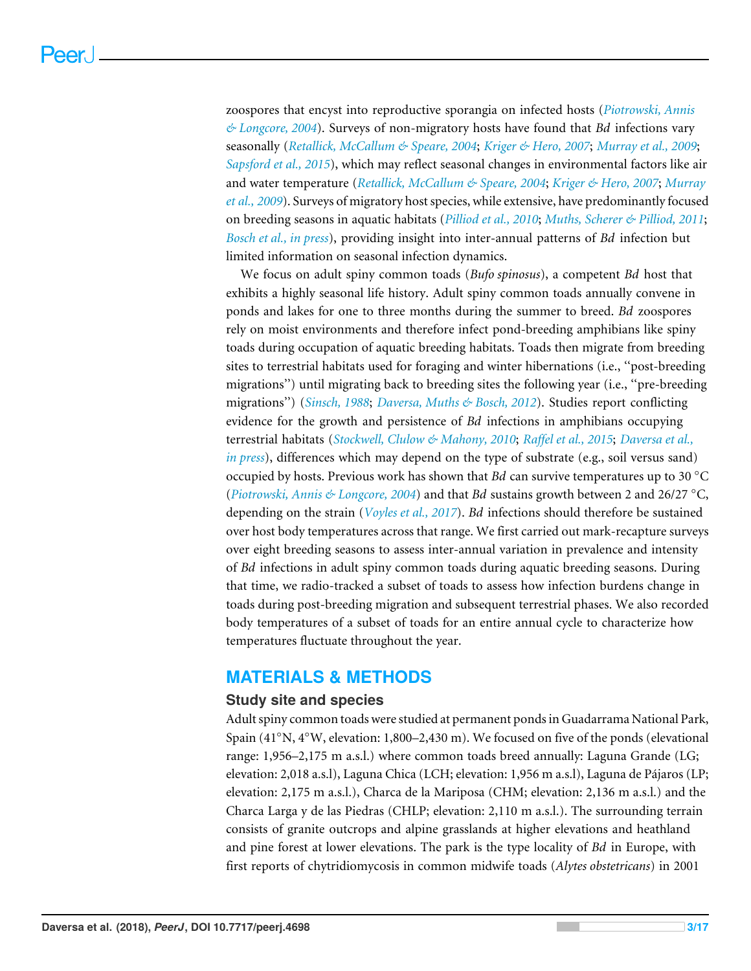zoospores that encyst into reproductive sporangia on infected hosts (*[Piotrowski, Annis](#page-15-6) [& Longcore, 2004](#page-15-6)*). Surveys of non-migratory hosts have found that *Bd* infections vary seasonally (*[Retallick, McCallum & Speare, 2004](#page-15-7)*; *[Kriger & Hero, 2007](#page-14-4)*; *[Murray et al., 2009](#page-14-5)*; *[Sapsford et al., 2015](#page-15-8)*), which may reflect seasonal changes in environmental factors like air and water temperature (*[Retallick, McCallum & Speare, 2004](#page-15-7)*; *[Kriger & Hero, 2007](#page-14-4)*; *[Murray](#page-14-5) [et al., 2009](#page-14-5)*). Surveys of migratory host species, while extensive, have predominantly focused on breeding seasons in aquatic habitats (*[Pilliod et al., 2010](#page-15-9)*; *[Muths, Scherer & Pilliod, 2011](#page-15-10)*; *[Bosch et al., in press](#page-13-4)*), providing insight into inter-annual patterns of *Bd* infection but limited information on seasonal infection dynamics.

We focus on adult spiny common toads (*Bufo spinosus*), a competent *Bd* host that exhibits a highly seasonal life history. Adult spiny common toads annually convene in ponds and lakes for one to three months during the summer to breed. *Bd* zoospores rely on moist environments and therefore infect pond-breeding amphibians like spiny toads during occupation of aquatic breeding habitats. Toads then migrate from breeding sites to terrestrial habitats used for foraging and winter hibernations (i.e., ''post-breeding migrations'') until migrating back to breeding sites the following year (i.e., ''pre-breeding migrations'') (*[Sinsch, 1988](#page-15-11)*; *[Daversa, Muths & Bosch, 2012](#page-13-5)*). Studies report conflicting evidence for the growth and persistence of *Bd* infections in amphibians occupying terrestrial habitats (*[Stockwell, Clulow & Mahony, 2010](#page-16-1)*; *[Raffel et al., 2015](#page-15-3)*; *[Daversa et al.,](#page-13-1) [in press](#page-13-1)*), differences which may depend on the type of substrate (e.g., soil versus sand) occupied by hosts. Previous work has shown that *Bd* can survive temperatures up to 30 ◦C (*[Piotrowski, Annis & Longcore, 2004](#page-15-6)*) and that *Bd* sustains growth between 2 and 26/27 ◦C, depending on the strain (*[Voyles et al., 2017](#page-16-2)*). *Bd* infections should therefore be sustained over host body temperatures across that range. We first carried out mark-recapture surveys over eight breeding seasons to assess inter-annual variation in prevalence and intensity of *Bd* infections in adult spiny common toads during aquatic breeding seasons. During that time, we radio-tracked a subset of toads to assess how infection burdens change in toads during post-breeding migration and subsequent terrestrial phases. We also recorded body temperatures of a subset of toads for an entire annual cycle to characterize how temperatures fluctuate throughout the year.

# **MATERIALS & METHODS**

#### **Study site and species**

Adult spiny common toads were studied at permanent ponds in Guadarrama National Park, Spain (41◦N, 4◦W, elevation: 1,800–2,430 m). We focused on five of the ponds (elevational range: 1,956–2,175 m a.s.l.) where common toads breed annually: Laguna Grande (LG; elevation: 2,018 a.s.l), Laguna Chica (LCH; elevation: 1,956 m a.s.l), Laguna de Pájaros (LP; elevation: 2,175 m a.s.l.), Charca de la Mariposa (CHM; elevation: 2,136 m a.s.l.) and the Charca Larga y de las Piedras (CHLP; elevation: 2,110 m a.s.l.). The surrounding terrain consists of granite outcrops and alpine grasslands at higher elevations and heathland and pine forest at lower elevations. The park is the type locality of *Bd* in Europe, with first reports of chytridiomycosis in common midwife toads (*Alytes obstetricans*) in 2001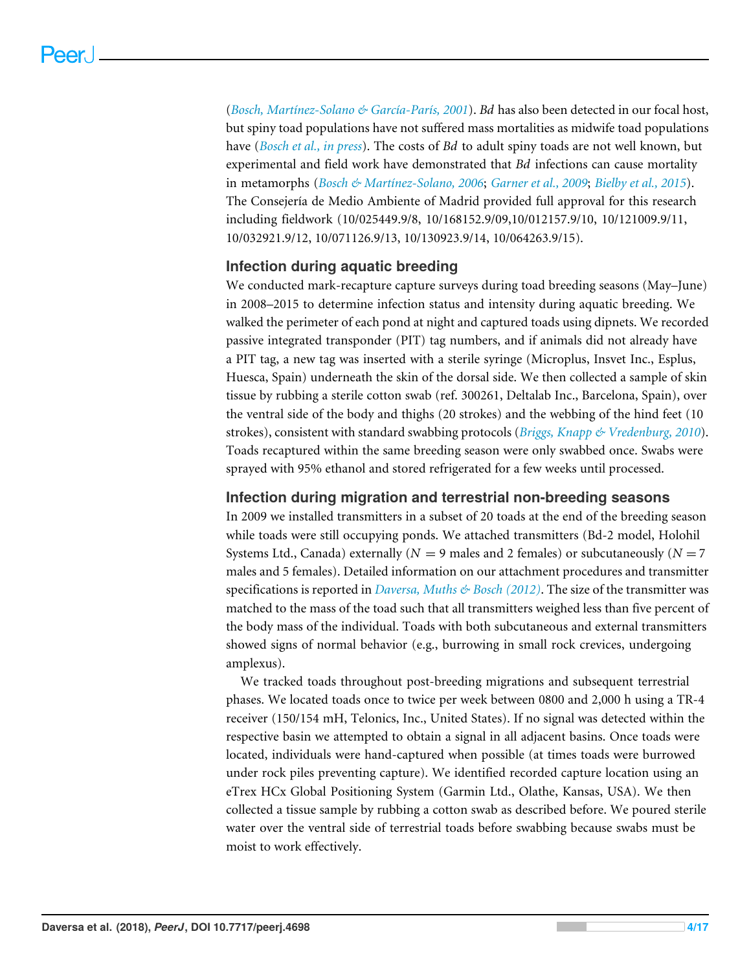(*[Bosch, Martínez-Solano & García-París, 2001](#page-13-6)*). *Bd* has also been detected in our focal host, but spiny toad populations have not suffered mass mortalities as midwife toad populations have (*[Bosch et al., in press](#page-13-4)*). The costs of *Bd* to adult spiny toads are not well known, but experimental and field work have demonstrated that *Bd* infections can cause mortality in metamorphs (*[Bosch & Martínez-Solano, 2006](#page-13-7)*; *[Garner et al., 2009](#page-13-8)*; *[Bielby et al., 2015](#page-13-9)*). The Consejería de Medio Ambiente of Madrid provided full approval for this research including fieldwork (10/025449.9/8, 10/168152.9/09,10/012157.9/10, 10/121009.9/11, 10/032921.9/12, 10/071126.9/13, 10/130923.9/14, 10/064263.9/15).

#### **Infection during aquatic breeding**

We conducted mark-recapture capture surveys during toad breeding seasons (May–June) in 2008–2015 to determine infection status and intensity during aquatic breeding. We walked the perimeter of each pond at night and captured toads using dipnets. We recorded passive integrated transponder (PIT) tag numbers, and if animals did not already have a PIT tag, a new tag was inserted with a sterile syringe (Microplus, Insvet Inc., Esplus, Huesca, Spain) underneath the skin of the dorsal side. We then collected a sample of skin tissue by rubbing a sterile cotton swab (ref. 300261, Deltalab Inc., Barcelona, Spain), over the ventral side of the body and thighs (20 strokes) and the webbing of the hind feet (10 strokes), consistent with standard swabbing protocols (*[Briggs, Knapp & Vredenburg, 2010](#page-13-10)*). Toads recaptured within the same breeding season were only swabbed once. Swabs were sprayed with 95% ethanol and stored refrigerated for a few weeks until processed.

#### **Infection during migration and terrestrial non-breeding seasons**

In 2009 we installed transmitters in a subset of 20 toads at the end of the breeding season while toads were still occupying ponds. We attached transmitters (Bd-2 model, Holohil Systems Ltd., Canada) externally  $(N = 9$  males and 2 females) or subcutaneously  $(N = 7)$ males and 5 females). Detailed information on our attachment procedures and transmitter specifications is reported in *[Daversa, Muths & Bosch \(2012\)](#page-13-5)*. The size of the transmitter was matched to the mass of the toad such that all transmitters weighed less than five percent of the body mass of the individual. Toads with both subcutaneous and external transmitters showed signs of normal behavior (e.g., burrowing in small rock crevices, undergoing amplexus).

We tracked toads throughout post-breeding migrations and subsequent terrestrial phases. We located toads once to twice per week between 0800 and 2,000 h using a TR-4 receiver (150/154 mH, Telonics, Inc., United States). If no signal was detected within the respective basin we attempted to obtain a signal in all adjacent basins. Once toads were located, individuals were hand-captured when possible (at times toads were burrowed under rock piles preventing capture). We identified recorded capture location using an eTrex HCx Global Positioning System (Garmin Ltd., Olathe, Kansas, USA). We then collected a tissue sample by rubbing a cotton swab as described before. We poured sterile water over the ventral side of terrestrial toads before swabbing because swabs must be moist to work effectively.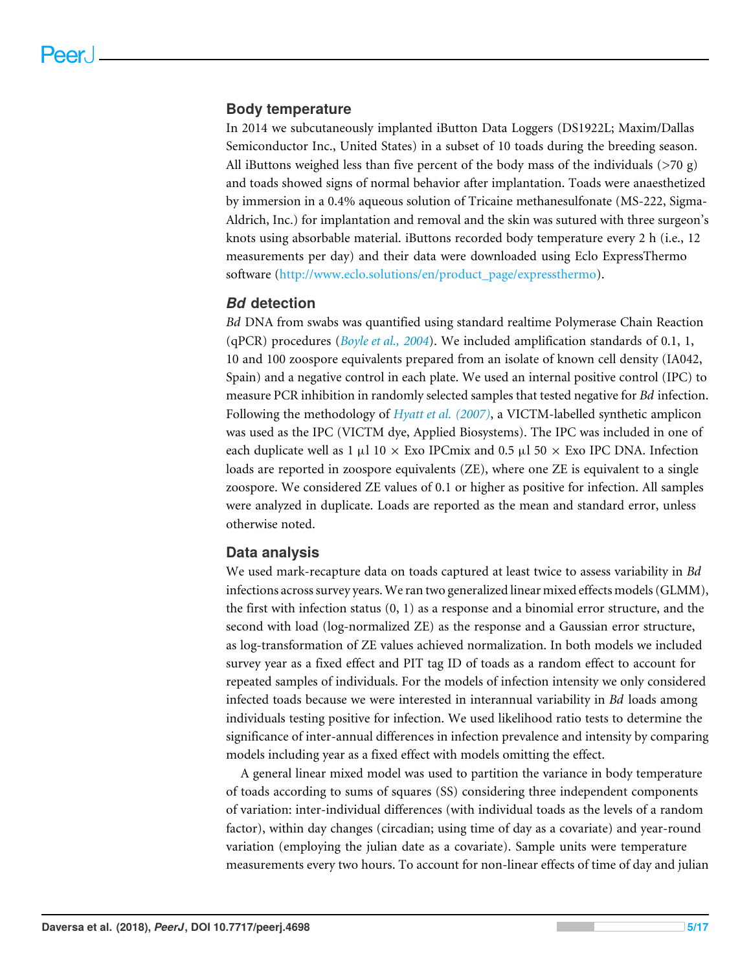#### **Body temperature**

In 2014 we subcutaneously implanted iButton Data Loggers (DS1922L; Maxim/Dallas Semiconductor Inc., United States) in a subset of 10 toads during the breeding season. All iButtons weighed less than five percent of the body mass of the individuals ( $>70$  g) and toads showed signs of normal behavior after implantation. Toads were anaesthetized by immersion in a 0.4% aqueous solution of Tricaine methanesulfonate (MS-222, Sigma-Aldrich, Inc.) for implantation and removal and the skin was sutured with three surgeon's knots using absorbable material. iButtons recorded body temperature every 2 h (i.e., 12 measurements per day) and their data were downloaded using Eclo ExpressThermo software [\(http://www.eclo.solutions/en/product\\_page/expressthermo\)](http://www.eclo.solutions/en/product_page/expressthermo).

#### *Bd* **detection**

*Bd* DNA from swabs was quantified using standard realtime Polymerase Chain Reaction (qPCR) procedures (*[Boyle et al.,](#page-13-11) [2004](#page-13-11)*). We included amplification standards of 0.1, 1, 10 and 100 zoospore equivalents prepared from an isolate of known cell density (IA042, Spain) and a negative control in each plate. We used an internal positive control (IPC) to measure PCR inhibition in randomly selected samples that tested negative for *Bd* infection. Following the methodology of *[Hyatt et al.](#page-14-6) [\(2007\)](#page-14-6)*, a VICTM-labelled synthetic amplicon was used as the IPC (VICTM dye, Applied Biosystems). The IPC was included in one of each duplicate well as 1  $\mu$ l 10 × Exo IPCmix and 0.5  $\mu$ l 50 × Exo IPC DNA. Infection loads are reported in zoospore equivalents (ZE), where one ZE is equivalent to a single zoospore. We considered ZE values of 0.1 or higher as positive for infection. All samples were analyzed in duplicate. Loads are reported as the mean and standard error, unless otherwise noted.

#### **Data analysis**

We used mark-recapture data on toads captured at least twice to assess variability in *Bd* infections across survey years. We ran two generalized linear mixed effects models (GLMM), the first with infection status (0, 1) as a response and a binomial error structure, and the second with load (log-normalized ZE) as the response and a Gaussian error structure, as log-transformation of ZE values achieved normalization. In both models we included survey year as a fixed effect and PIT tag ID of toads as a random effect to account for repeated samples of individuals. For the models of infection intensity we only considered infected toads because we were interested in interannual variability in *Bd* loads among individuals testing positive for infection. We used likelihood ratio tests to determine the significance of inter-annual differences in infection prevalence and intensity by comparing models including year as a fixed effect with models omitting the effect.

A general linear mixed model was used to partition the variance in body temperature of toads according to sums of squares (SS) considering three independent components of variation: inter-individual differences (with individual toads as the levels of a random factor), within day changes (circadian; using time of day as a covariate) and year-round variation (employing the julian date as a covariate). Sample units were temperature measurements every two hours. To account for non-linear effects of time of day and julian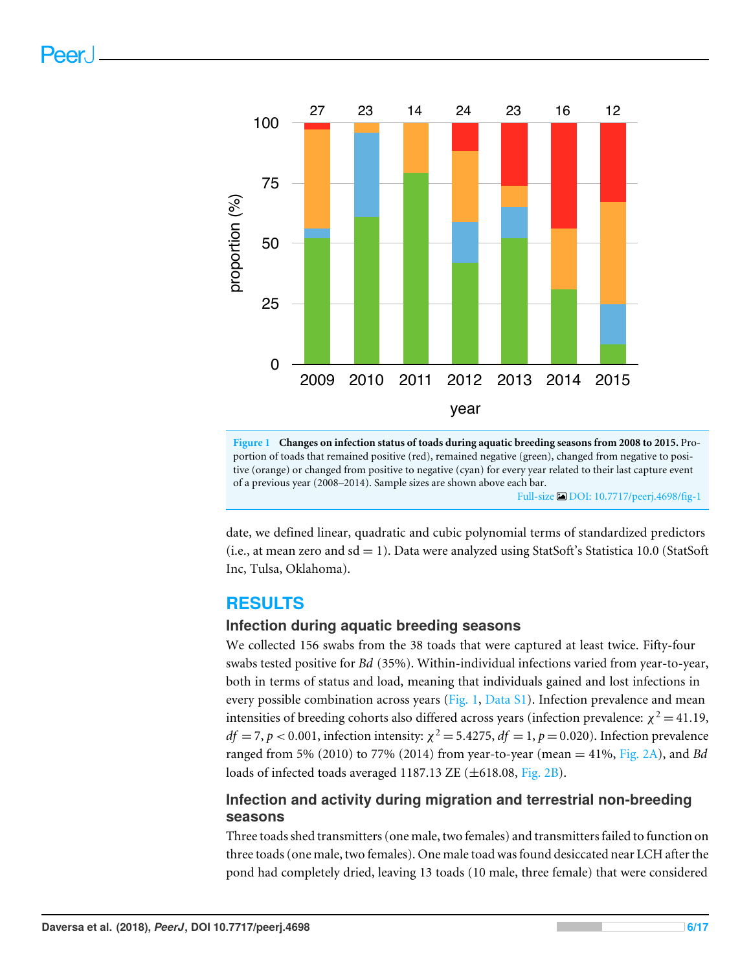<span id="page-5-0"></span>

**Figure 1 Changes on infection status of toads during aquatic breeding seasons from 2008 to 2015.** Proportion of toads that remained positive (red), remained negative (green), changed from negative to positive (orange) or changed from positive to negative (cyan) for every year related to their last capture event of a previous year (2008–2014). Sample sizes are shown above each bar. Full-size [DOI: 10.7717/peerj.4698/fig-1](https://doi.org/10.7717/peerj.4698/fig-1)

date, we defined linear, quadratic and cubic polynomial terms of standardized predictors  $(i.e., at mean zero and sd = 1)$ . Data were analyzed using StatSoft's Statistica 10.0 (StatSoft) Inc, Tulsa, Oklahoma).

# **RESULTS**

### **Infection during aquatic breeding seasons**

We collected 156 swabs from the 38 toads that were captured at least twice. Fifty-four swabs tested positive for *Bd* (35%). Within-individual infections varied from year-to-year, both in terms of status and load, meaning that individuals gained and lost infections in every possible combination across years [\(Fig. 1,](#page-5-0) [Data S1\)](http://dx.doi.org/10.7717/peerj.4698#supp-1). Infection prevalence and mean intensities of breeding cohorts also differed across years (infection prevalence:  $\chi^2$  = 41.19,  $df = 7, p < 0.001$ , infection intensity:  $\chi^2 = 5.4275$ ,  $df = 1, p = 0.020$ ). Infection prevalence ranged from 5% (2010) to 77% (2014) from year-to-year (mean = 41%, [Fig. 2A\)](#page-6-0), and *Bd* loads of infected toads averaged 1187.13 ZE (±618.08, [Fig. 2B\)](#page-6-0).

# **Infection and activity during migration and terrestrial non-breeding seasons**

Three toads shed transmitters (one male, two females) and transmitters failed to function on three toads (one male, two females). One male toad was found desiccated near LCH after the pond had completely dried, leaving 13 toads (10 male, three female) that were considered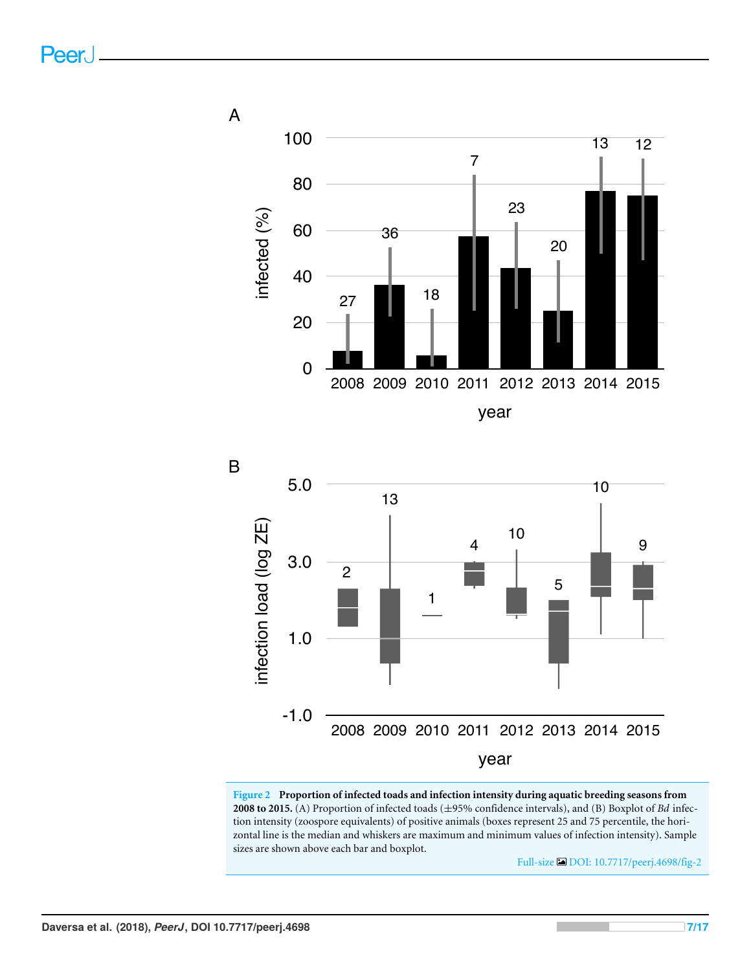<span id="page-6-0"></span>



**Figure 2 Proportion of infected toads and infection intensity during aquatic breeding seasons from 2008 to 2015.** (A) Proportion of infected toads (±95% confidence intervals), and (B) Boxplot of *Bd* infection intensity (zoospore equivalents) of positive animals (boxes represent 25 and 75 percentile, the horizontal line is the median and whiskers are maximum and minimum values of infection intensity). Sample sizes are shown above each bar and boxplot.

Full-size [DOI: 10.7717/peerj.4698/fig-2](https://doi.org/10.7717/peerj.4698/fig-2)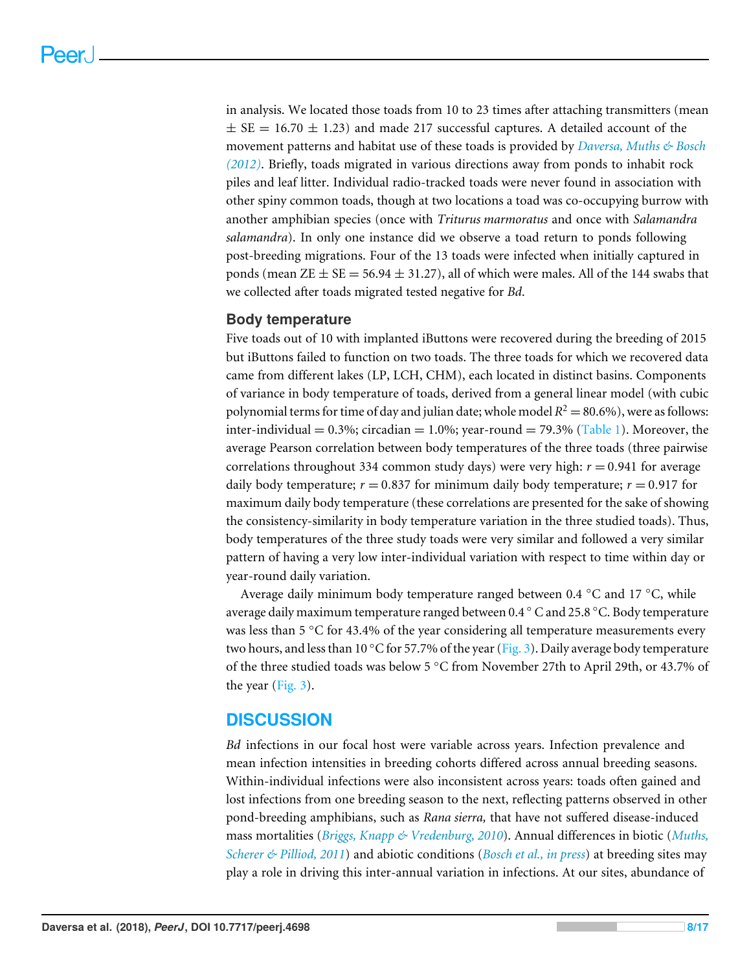in analysis. We located those toads from 10 to 23 times after attaching transmitters (mean  $\pm$  SE = 16.70  $\pm$  1.23) and made 217 successful captures. A detailed account of the movement patterns and habitat use of these toads is provided by *[Daversa, Muths & Bosch](#page-13-5) [\(2012\)](#page-13-5)*. Briefly, toads migrated in various directions away from ponds to inhabit rock piles and leaf litter. Individual radio-tracked toads were never found in association with other spiny common toads, though at two locations a toad was co-occupying burrow with another amphibian species (once with *Triturus marmoratus* and once with *Salamandra salamandra*). In only one instance did we observe a toad return to ponds following post-breeding migrations. Four of the 13 toads were infected when initially captured in ponds (mean  $ZE \pm SE = 56.94 \pm 31.27$ ), all of which were males. All of the 144 swabs that we collected after toads migrated tested negative for *Bd*.

#### **Body temperature**

Five toads out of 10 with implanted iButtons were recovered during the breeding of 2015 but iButtons failed to function on two toads. The three toads for which we recovered data came from different lakes (LP, LCH, CHM), each located in distinct basins. Components of variance in body temperature of toads, derived from a general linear model (with cubic polynomial terms for time of day and julian date; whole model  $R^2 = 80.6\%$  ), were as follows: inter-individual =  $0.3\%$ ; circadian =  $1.0\%$ ; year-round =  $79.3\%$  [\(Table 1\)](#page-8-0). Moreover, the average Pearson correlation between body temperatures of the three toads (three pairwise correlations throughout 334 common study days) were very high:  $r = 0.941$  for average daily body temperature;  $r = 0.837$  for minimum daily body temperature;  $r = 0.917$  for maximum daily body temperature (these correlations are presented for the sake of showing the consistency-similarity in body temperature variation in the three studied toads). Thus, body temperatures of the three study toads were very similar and followed a very similar pattern of having a very low inter-individual variation with respect to time within day or year-round daily variation.

Average daily minimum body temperature ranged between 0.4 ◦C and 17 ◦C, while average daily maximum temperature ranged between 0.4 ◦ C and 25.8 ◦C. Body temperature was less than 5 °C for 43.4% of the year considering all temperature measurements every two hours, and less than 10 °C for 57.7% of the year [\(Fig. 3\)](#page-9-0). Daily average body temperature of the three studied toads was below 5 ◦C from November 27th to April 29th, or 43.7% of the year [\(Fig. 3\)](#page-9-0).

# **DISCUSSION**

*Bd* infections in our focal host were variable across years. Infection prevalence and mean infection intensities in breeding cohorts differed across annual breeding seasons. Within-individual infections were also inconsistent across years: toads often gained and lost infections from one breeding season to the next, reflecting patterns observed in other pond-breeding amphibians, such as *Rana sierra,* that have not suffered disease-induced mass mortalities (*[Briggs, Knapp & Vredenburg, 2010](#page-13-10)*). Annual differences in biotic (*[Muths,](#page-15-10) [Scherer & Pilliod, 2011](#page-15-10)*) and abiotic conditions (*[Bosch et al., in press](#page-13-4)*) at breeding sites may play a role in driving this inter-annual variation in infections. At our sites, abundance of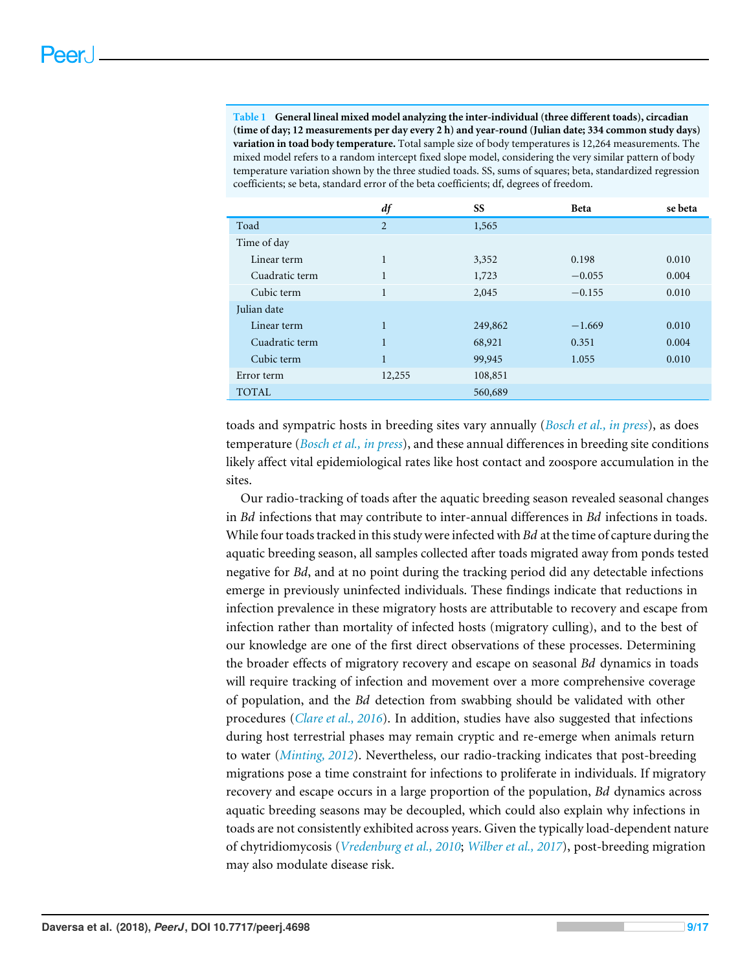<span id="page-8-0"></span>**Table 1 General lineal mixed model analyzing the inter-individual (three different toads), circadian (time of day; 12 measurements per day every 2 h) and year-round (Julian date; 334 common study days) variation in toad body temperature.** Total sample size of body temperatures is 12,264 measurements. The mixed model refers to a random intercept fixed slope model, considering the very similar pattern of body temperature variation shown by the three studied toads. SS, sums of squares; beta, standardized regression coefficients; se beta, standard error of the beta coefficients; df, degrees of freedom.

|                | df             | SS      | <b>Beta</b> | se beta |
|----------------|----------------|---------|-------------|---------|
| Toad           | $\overline{2}$ | 1,565   |             |         |
| Time of day    |                |         |             |         |
| Linear term    | 1              | 3,352   | 0.198       | 0.010   |
| Cuadratic term | $\mathbf{1}$   | 1,723   | $-0.055$    | 0.004   |
| Cubic term     | $\mathbf{1}$   | 2,045   | $-0.155$    | 0.010   |
| Julian date    |                |         |             |         |
| Linear term    | $\mathbf{1}$   | 249,862 | $-1.669$    | 0.010   |
| Cuadratic term | $\mathbf{1}$   | 68,921  | 0.351       | 0.004   |
| Cubic term     | 1              | 99,945  | 1.055       | 0.010   |
| Error term     | 12,255         | 108,851 |             |         |
| <b>TOTAL</b>   |                | 560,689 |             |         |

toads and sympatric hosts in breeding sites vary annually (*[Bosch et al., in press](#page-13-4)*), as does temperature (*[Bosch et al., in press](#page-13-4)*), and these annual differences in breeding site conditions likely affect vital epidemiological rates like host contact and zoospore accumulation in the sites.

Our radio-tracking of toads after the aquatic breeding season revealed seasonal changes in *Bd* infections that may contribute to inter-annual differences in *Bd* infections in toads. While four toads tracked in this study were infected with *Bd* at the time of capture during the aquatic breeding season, all samples collected after toads migrated away from ponds tested negative for *Bd*, and at no point during the tracking period did any detectable infections emerge in previously uninfected individuals. These findings indicate that reductions in infection prevalence in these migratory hosts are attributable to recovery and escape from infection rather than mortality of infected hosts (migratory culling), and to the best of our knowledge are one of the first direct observations of these processes. Determining the broader effects of migratory recovery and escape on seasonal *Bd* dynamics in toads will require tracking of infection and movement over a more comprehensive coverage of population, and the *Bd* detection from swabbing should be validated with other procedures (*[Clare et al., 2016](#page-13-12)*). In addition, studies have also suggested that infections during host terrestrial phases may remain cryptic and re-emerge when animals return to water (*[Minting, 2012](#page-14-7)*). Nevertheless, our radio-tracking indicates that post-breeding migrations pose a time constraint for infections to proliferate in individuals. If migratory recovery and escape occurs in a large proportion of the population, *Bd* dynamics across aquatic breeding seasons may be decoupled, which could also explain why infections in toads are not consistently exhibited across years. Given the typically load-dependent nature of chytridiomycosis (*[Vredenburg et al., 2010](#page-16-3)*; *[Wilber et al., 2017](#page-16-4)*), post-breeding migration may also modulate disease risk.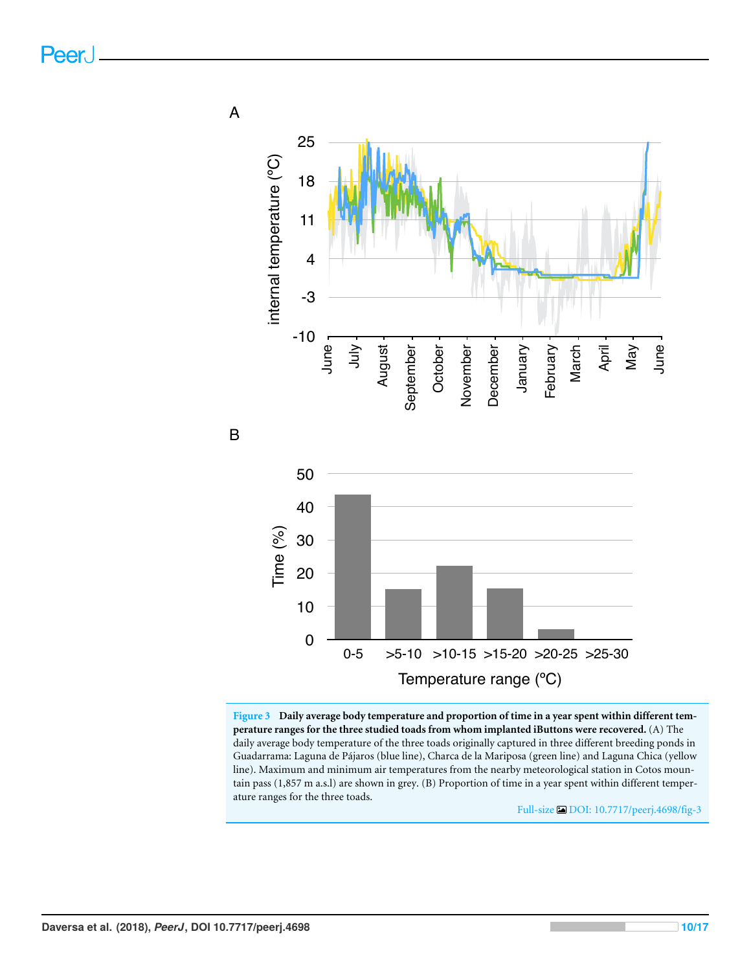<span id="page-9-0"></span>

**Figure 3 Daily average body temperature and proportion of time in a year spent within different temperature ranges for the three studied toads from whom implanted iButtons were recovered.** (A) The daily average body temperature of the three toads originally captured in three different breeding ponds in Guadarrama: Laguna de Pájaros (blue line), Charca de la Mariposa (green line) and Laguna Chica (yellow line). Maximum and minimum air temperatures from the nearby meteorological station in Cotos mountain pass (1,857 m a.s.l) are shown in grey. (B) Proportion of time in a year spent within different temperature ranges for the three toads.

Full-size [DOI: 10.7717/peerj.4698/fig-3](https://doi.org/10.7717/peerj.4698/fig-3)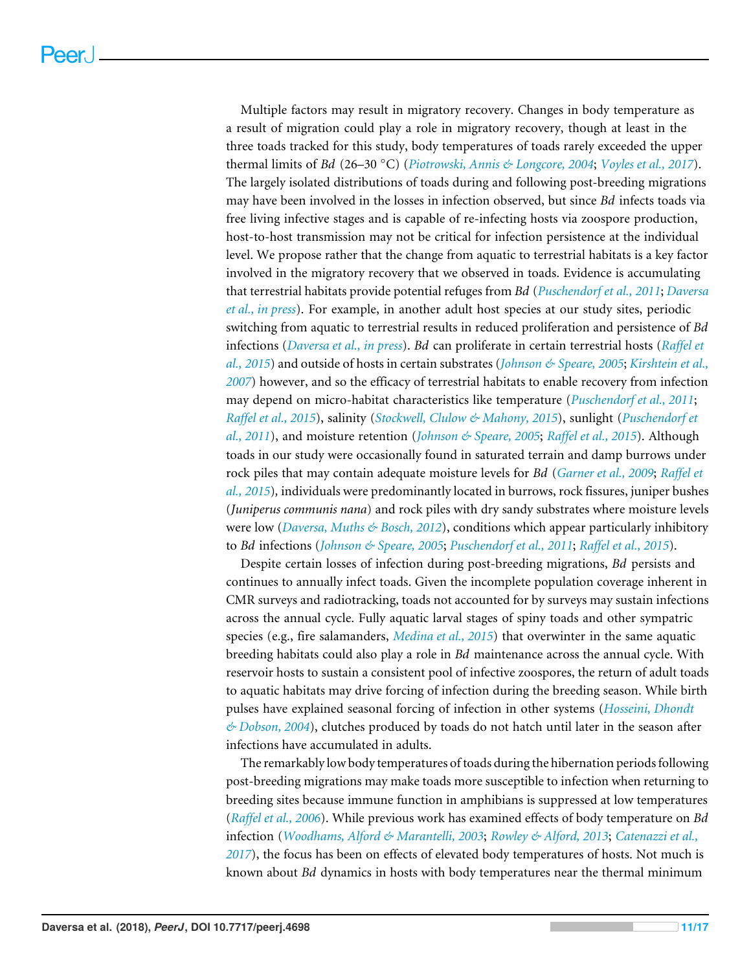Multiple factors may result in migratory recovery. Changes in body temperature as a result of migration could play a role in migratory recovery, though at least in the three toads tracked for this study, body temperatures of toads rarely exceeded the upper thermal limits of *Bd* (26–30 ◦C) (*[Piotrowski, Annis & Longcore, 2004](#page-15-6)*; *[Voyles et al., 2017](#page-16-2)*). The largely isolated distributions of toads during and following post-breeding migrations may have been involved in the losses in infection observed, but since *Bd* infects toads via free living infective stages and is capable of re-infecting hosts via zoospore production, host-to-host transmission may not be critical for infection persistence at the individual level. We propose rather that the change from aquatic to terrestrial habitats is a key factor involved in the migratory recovery that we observed in toads. Evidence is accumulating that terrestrial habitats provide potential refuges from *Bd* (*[Puschendorf et al., 2011](#page-15-12)*; *[Daversa](#page-13-1) [et al., in press](#page-13-1)*). For example, in another adult host species at our study sites, periodic switching from aquatic to terrestrial results in reduced proliferation and persistence of *Bd* infections (*[Daversa et al., in press](#page-13-1)*). *Bd* can proliferate in certain terrestrial hosts (*[Raffel et](#page-15-3) [al., 2015](#page-15-3)*) and outside of hosts in certain substrates (*[Johnson & Speare, 2005](#page-14-8)*; *[Kirshtein et al.,](#page-14-9) [2007](#page-14-9)*) however, and so the efficacy of terrestrial habitats to enable recovery from infection may depend on micro-habitat characteristics like temperature (*[Puschendorf et al., 2011](#page-15-12)*; *[Raffel et al., 2015](#page-15-3)*), salinity (*[Stockwell, Clulow & Mahony, 2015](#page-16-5)*), sunlight (*[Puschendorf et](#page-15-12) [al., 2011](#page-15-12)*), and moisture retention (*[Johnson & Speare, 2005](#page-14-8)*; *[Raffel et al., 2015](#page-15-3)*). Although toads in our study were occasionally found in saturated terrain and damp burrows under rock piles that may contain adequate moisture levels for *Bd* (*[Garner et al., 2009](#page-13-8)*; *[Raffel et](#page-15-3) [al., 2015](#page-15-3)*)*,* individuals were predominantly located in burrows, rock fissures, juniper bushes (*Juniperus communis nana*) and rock piles with dry sandy substrates where moisture levels were low (*[Daversa, Muths & Bosch, 2012](#page-13-5)*), conditions which appear particularly inhibitory to *Bd* infections (*[Johnson & Speare, 2005](#page-14-8)*; *[Puschendorf et al., 2011](#page-15-12)*; *[Raffel et al., 2015](#page-15-3)*).

Despite certain losses of infection during post-breeding migrations, *Bd* persists and continues to annually infect toads. Given the incomplete population coverage inherent in CMR surveys and radiotracking, toads not accounted for by surveys may sustain infections across the annual cycle. Fully aquatic larval stages of spiny toads and other sympatric species (e.g., fire salamanders, *[Medina et al., 2015](#page-14-10)*) that overwinter in the same aquatic breeding habitats could also play a role in *Bd* maintenance across the annual cycle. With reservoir hosts to sustain a consistent pool of infective zoospores, the return of adult toads to aquatic habitats may drive forcing of infection during the breeding season. While birth pulses have explained seasonal forcing of infection in other systems (*[Hosseini, Dhondt](#page-14-11) [& Dobson, 2004](#page-14-11)*), clutches produced by toads do not hatch until later in the season after infections have accumulated in adults.

The remarkably low body temperatures of toads during the hibernation periods following post-breeding migrations may make toads more susceptible to infection when returning to breeding sites because immune function in amphibians is suppressed at low temperatures (*[Raffel et al., 2006](#page-15-13)*). While previous work has examined effects of body temperature on *Bd* infection (*[Woodhams, Alford & Marantelli, 2003](#page-16-6)*; *[Rowley & Alford, 2013](#page-15-14)*; *[Catenazzi et al.,](#page-13-13) [2017](#page-13-13)*), the focus has been on effects of elevated body temperatures of hosts. Not much is known about *Bd* dynamics in hosts with body temperatures near the thermal minimum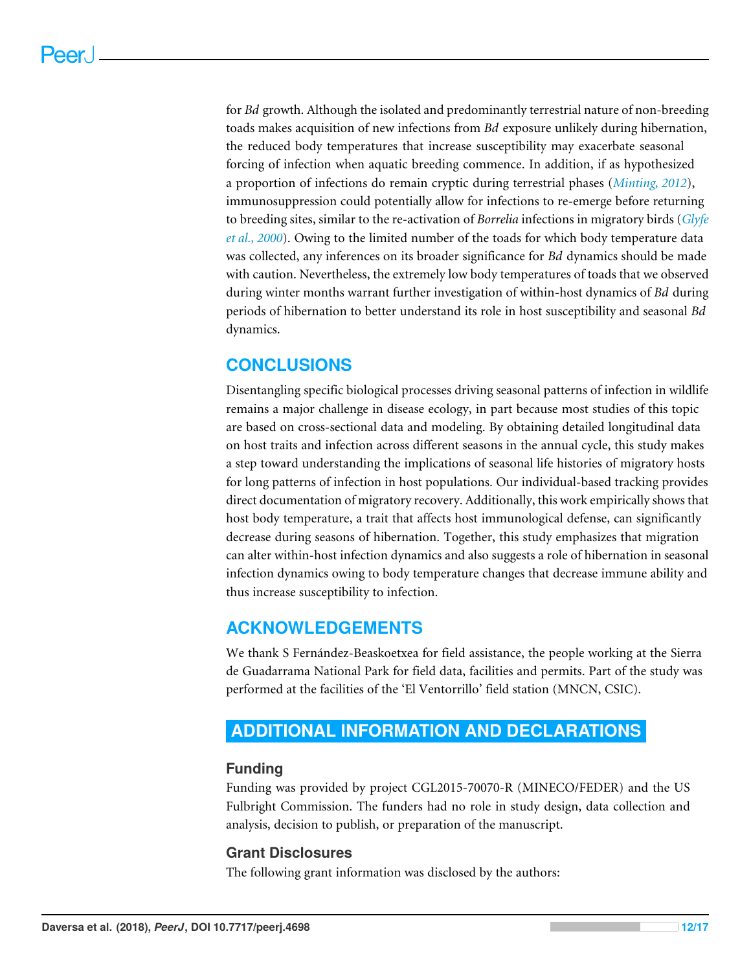for *Bd* growth. Although the isolated and predominantly terrestrial nature of non-breeding toads makes acquisition of new infections from *Bd* exposure unlikely during hibernation, the reduced body temperatures that increase susceptibility may exacerbate seasonal forcing of infection when aquatic breeding commence. In addition, if as hypothesized a proportion of infections do remain cryptic during terrestrial phases (*[Minting, 2012](#page-14-7)*), immunosuppression could potentially allow for infections to re-emerge before returning to breeding sites, similar to the re-activation of *Borrelia* infections in migratory birds (*[Glyfe](#page-14-2) [et al., 2000](#page-14-2)*). Owing to the limited number of the toads for which body temperature data was collected, any inferences on its broader significance for *Bd* dynamics should be made with caution. Nevertheless, the extremely low body temperatures of toads that we observed during winter months warrant further investigation of within-host dynamics of *Bd* during periods of hibernation to better understand its role in host susceptibility and seasonal *Bd* dynamics.

# **CONCLUSIONS**

Disentangling specific biological processes driving seasonal patterns of infection in wildlife remains a major challenge in disease ecology, in part because most studies of this topic are based on cross-sectional data and modeling. By obtaining detailed longitudinal data on host traits and infection across different seasons in the annual cycle, this study makes a step toward understanding the implications of seasonal life histories of migratory hosts for long patterns of infection in host populations. Our individual-based tracking provides direct documentation of migratory recovery. Additionally, this work empirically shows that host body temperature, a trait that affects host immunological defense, can significantly decrease during seasons of hibernation. Together, this study emphasizes that migration can alter within-host infection dynamics and also suggests a role of hibernation in seasonal infection dynamics owing to body temperature changes that decrease immune ability and thus increase susceptibility to infection.

# **ACKNOWLEDGEMENTS**

We thank S Fernández-Beaskoetxea for field assistance, the people working at the Sierra de Guadarrama National Park for field data, facilities and permits. Part of the study was performed at the facilities of the 'El Ventorrillo' field station (MNCN, CSIC).

# <span id="page-11-0"></span>**ADDITIONAL INFORMATION AND DECLARATIONS**

# **Funding**

Funding was provided by project CGL2015-70070-R (MINECO/FEDER) and the US Fulbright Commission. The funders had no role in study design, data collection and analysis, decision to publish, or preparation of the manuscript.

# **Grant Disclosures**

The following grant information was disclosed by the authors: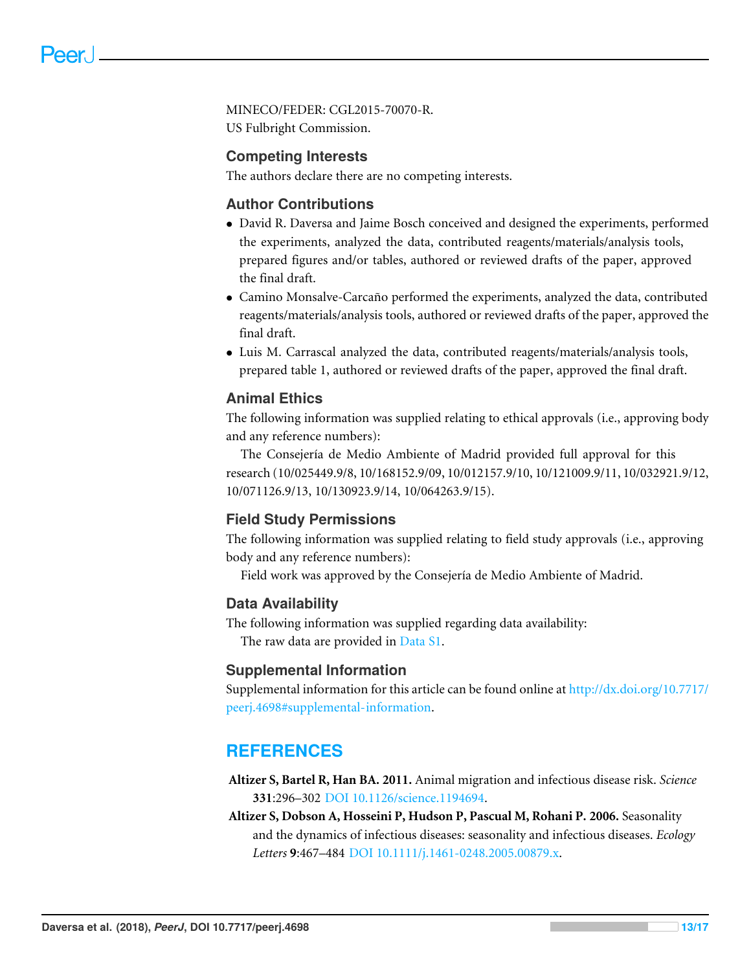MINECO/FEDER: CGL2015-70070-R. US Fulbright Commission.

## **Competing Interests**

The authors declare there are no competing interests.

### **Author Contributions**

- [David R. Daversa](#page-0-3) and [Jaime Bosch](#page-0-4) conceived and designed the experiments, performed the experiments, analyzed the data, contributed reagents/materials/analysis tools, prepared figures and/or tables, authored or reviewed drafts of the paper, approved the final draft.
- [Camino Monsalve-Carcaño](#page-0-5) performed the experiments, analyzed the data, contributed reagents/materials/analysis tools, authored or reviewed drafts of the paper, approved the final draft.
- [Luis M. Carrascal](#page-0-6) analyzed the data, contributed reagents/materials/analysis tools, prepared table 1, authored or reviewed drafts of the paper, approved the final draft.

### **Animal Ethics**

The following information was supplied relating to ethical approvals (i.e., approving body and any reference numbers):

The Consejería de Medio Ambiente of Madrid provided full approval for this research (10/025449.9/8, 10/168152.9/09, 10/012157.9/10, 10/121009.9/11, 10/032921.9/12, 10/071126.9/13, 10/130923.9/14, 10/064263.9/15).

### **Field Study Permissions**

The following information was supplied relating to field study approvals (i.e., approving body and any reference numbers):

Field work was approved by the Consejería de Medio Ambiente of Madrid.

#### **Data Availability**

The following information was supplied regarding data availability: The raw data are provided in [Data S1.](http://dx.doi.org/10.7717/peerj.4698#supp-1)

#### **Supplemental Information**

Supplemental information for this article can be found online at [http://dx.doi.org/10.7717/](http://dx.doi.org/10.7717/peerj.4698#supplemental-information) [peerj.4698#supplemental-information.](http://dx.doi.org/10.7717/peerj.4698#supplemental-information)

# **REFERENCES**

- <span id="page-12-1"></span>**Altizer S, Bartel R, Han BA. 2011.** Animal migration and infectious disease risk. *Science* **331**:296–302 [DOI 10.1126/science.1194694.](http://dx.doi.org/10.1126/science.1194694)
- <span id="page-12-0"></span>**Altizer S, Dobson A, Hosseini P, Hudson P, Pascual M, Rohani P. 2006.** Seasonality and the dynamics of infectious diseases: seasonality and infectious diseases. *Ecology Letters* **9**:467–484 [DOI 10.1111/j.1461-0248.2005.00879.x.](http://dx.doi.org/10.1111/j.1461-0248.2005.00879.x)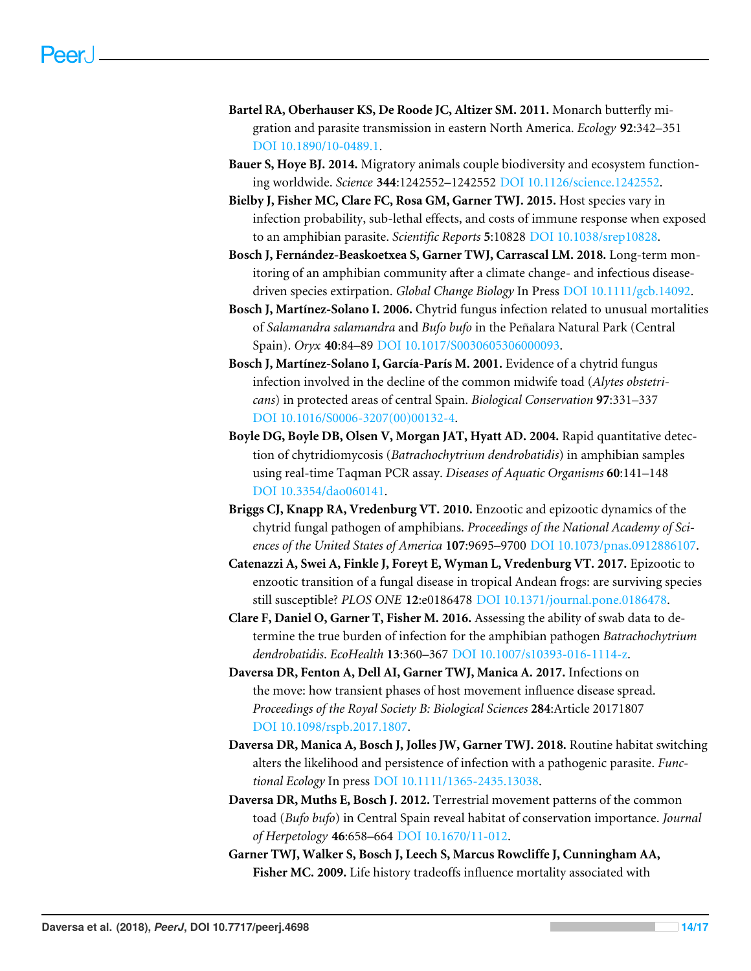- <span id="page-13-3"></span>**Bartel RA, Oberhauser KS, De Roode JC, Altizer SM. 2011.** Monarch butterfly migration and parasite transmission in eastern North America. *Ecology* **92**:342–351 [DOI 10.1890/10-0489.1.](http://dx.doi.org/10.1890/10-0489.1)
- <span id="page-13-2"></span>**Bauer S, Hoye BJ. 2014.** Migratory animals couple biodiversity and ecosystem functioning worldwide. *Science* **344**:1242552–1242552 [DOI 10.1126/science.1242552.](http://dx.doi.org/10.1126/science.1242552)
- <span id="page-13-9"></span>**Bielby J, Fisher MC, Clare FC, Rosa GM, Garner TWJ. 2015.** Host species vary in infection probability, sub-lethal effects, and costs of immune response when exposed to an amphibian parasite. *Scientific Reports* **5**:10828 [DOI 10.1038/srep10828.](http://dx.doi.org/10.1038/srep10828)
- <span id="page-13-4"></span>**Bosch J, Fernández-Beaskoetxea S, Garner TWJ, Carrascal LM. 2018.** Long-term monitoring of an amphibian community after a climate change- and infectious diseasedriven species extirpation. *Global Change Biology* In Press [DOI 10.1111/gcb.14092.](http://dx.doi.org/10.1111/gcb.14092)
- <span id="page-13-7"></span>**Bosch J, Martínez-Solano I. 2006.** Chytrid fungus infection related to unusual mortalities of *Salamandra salamandra* and *Bufo bufo* in the Peñalara Natural Park (Central Spain). *Oryx* **40**:84–89 [DOI 10.1017/S0030605306000093.](http://dx.doi.org/10.1017/S0030605306000093)
- <span id="page-13-6"></span>**Bosch J, Martínez-Solano I, García-París M. 2001.** Evidence of a chytrid fungus infection involved in the decline of the common midwife toad (*Alytes obstetricans*) in protected areas of central Spain. *Biological Conservation* **97**:331–337 [DOI 10.1016/S0006-3207\(00\)00132-4.](http://dx.doi.org/10.1016/S0006-3207(00)00132-4)
- <span id="page-13-11"></span>**Boyle DG, Boyle DB, Olsen V, Morgan JAT, Hyatt AD. 2004.** Rapid quantitative detection of chytridiomycosis (*Batrachochytrium dendrobatidis*) in amphibian samples using real-time Taqman PCR assay. *Diseases of Aquatic Organisms* **60**:141–148 [DOI 10.3354/dao060141.](http://dx.doi.org/10.3354/dao060141)
- <span id="page-13-10"></span>**Briggs CJ, Knapp RA, Vredenburg VT. 2010.** Enzootic and epizootic dynamics of the chytrid fungal pathogen of amphibians. *Proceedings of the National Academy of Sciences of the United States of America* **107**:9695–9700 [DOI 10.1073/pnas.0912886107.](http://dx.doi.org/10.1073/pnas.0912886107)
- <span id="page-13-13"></span>**Catenazzi A, Swei A, Finkle J, Foreyt E, Wyman L, Vredenburg VT. 2017.** Epizootic to enzootic transition of a fungal disease in tropical Andean frogs: are surviving species still susceptible? *PLOS ONE* **12**:e0186478 [DOI 10.1371/journal.pone.0186478.](http://dx.doi.org/10.1371/journal.pone.0186478)
- <span id="page-13-12"></span>**Clare F, Daniel O, Garner T, Fisher M. 2016.** Assessing the ability of swab data to determine the true burden of infection for the amphibian pathogen *Batrachochytrium dendrobatidis*. *EcoHealth* **13**:360–367 [DOI 10.1007/s10393-016-1114-z.](http://dx.doi.org/10.1007/s10393-016-1114-z)
- <span id="page-13-0"></span>**Daversa DR, Fenton A, Dell AI, Garner TWJ, Manica A. 2017.** Infections on the move: how transient phases of host movement influence disease spread. *Proceedings of the Royal Society B: Biological Sciences* **284**:Article 20171807 [DOI 10.1098/rspb.2017.1807.](http://dx.doi.org/10.1098/rspb.2017.1807)
- <span id="page-13-1"></span>**Daversa DR, Manica A, Bosch J, Jolles JW, Garner TWJ. 2018.** Routine habitat switching alters the likelihood and persistence of infection with a pathogenic parasite. *Functional Ecology* In press [DOI 10.1111/1365-2435.13038.](http://dx.doi.org/10.1111/1365-2435.13038)
- <span id="page-13-5"></span>**Daversa DR, Muths E, Bosch J. 2012.** Terrestrial movement patterns of the common toad (*Bufo bufo*) in Central Spain reveal habitat of conservation importance. *Journal of Herpetology* **46**:658–664 [DOI 10.1670/11-012.](http://dx.doi.org/10.1670/11-012)
- <span id="page-13-8"></span>**Garner TWJ, Walker S, Bosch J, Leech S, Marcus Rowcliffe J, Cunningham AA, Fisher MC. 2009.** Life history tradeoffs influence mortality associated with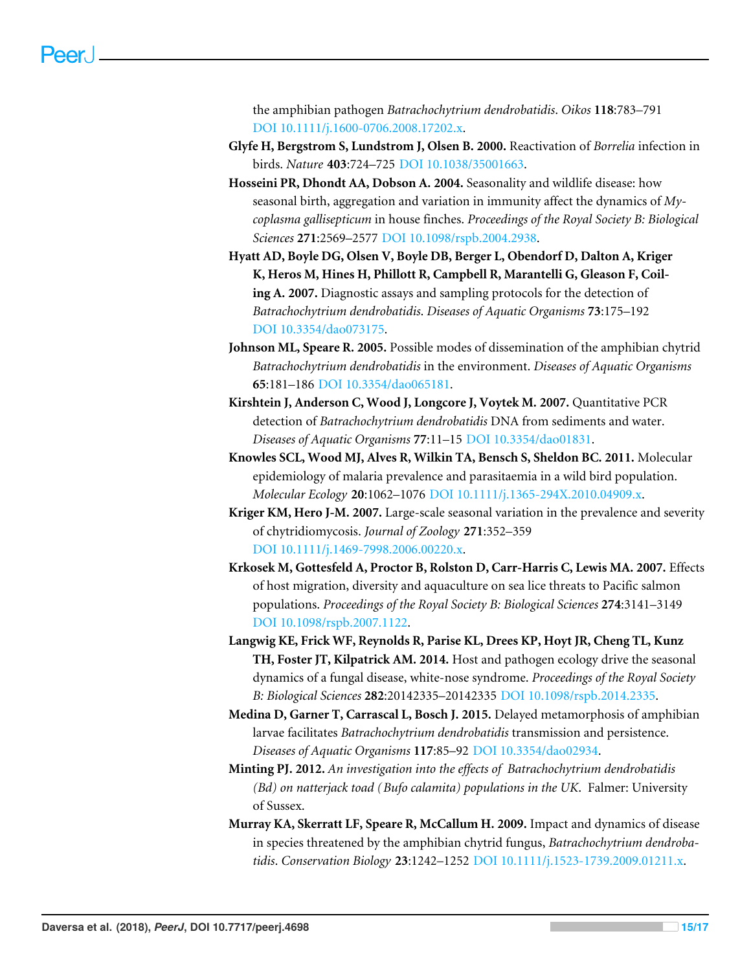the amphibian pathogen *Batrachochytrium dendrobatidis*. *Oikos* **118**:783–791 [DOI 10.1111/j.1600-0706.2008.17202.x.](http://dx.doi.org/10.1111/j.1600-0706.2008.17202.x)

- <span id="page-14-2"></span>**Glyfe H, Bergstrom S, Lundstrom J, Olsen B. 2000.** Reactivation of *Borrelia* infection in birds. *Nature* **403**:724–725 [DOI 10.1038/35001663.](http://dx.doi.org/10.1038/35001663)
- <span id="page-14-11"></span>**Hosseini PR, Dhondt AA, Dobson A. 2004.** Seasonality and wildlife disease: how seasonal birth, aggregation and variation in immunity affect the dynamics of *Mycoplasma gallisepticum* in house finches. *Proceedings of the Royal Society B: Biological Sciences* **271**:2569–2577 [DOI 10.1098/rspb.2004.2938.](http://dx.doi.org/10.1098/rspb.2004.2938)
- <span id="page-14-6"></span>**Hyatt AD, Boyle DG, Olsen V, Boyle DB, Berger L, Obendorf D, Dalton A, Kriger K, Heros M, Hines H, Phillott R, Campbell R, Marantelli G, Gleason F, Coiling A. 2007.** Diagnostic assays and sampling protocols for the detection of *Batrachochytrium dendrobatidis*. *Diseases of Aquatic Organisms* **73**:175–192 [DOI 10.3354/dao073175.](http://dx.doi.org/10.3354/dao073175)
- <span id="page-14-8"></span>**Johnson ML, Speare R. 2005.** Possible modes of dissemination of the amphibian chytrid *Batrachochytrium dendrobatidis* in the environment. *Diseases of Aquatic Organisms* **65**:181–186 [DOI 10.3354/dao065181.](http://dx.doi.org/10.3354/dao065181)
- <span id="page-14-9"></span>**Kirshtein J, Anderson C, Wood J, Longcore J, Voytek M. 2007.** Quantitative PCR detection of *Batrachochytrium dendrobatidis* DNA from sediments and water. *Diseases of Aquatic Organisms* **77**:11–15 [DOI 10.3354/dao01831.](http://dx.doi.org/10.3354/dao01831)
- <span id="page-14-1"></span>**Knowles SCL, Wood MJ, Alves R, Wilkin TA, Bensch S, Sheldon BC. 2011.** Molecular epidemiology of malaria prevalence and parasitaemia in a wild bird population. *Molecular Ecology* **20**:1062–1076 [DOI 10.1111/j.1365-294X.2010.04909.x.](http://dx.doi.org/10.1111/j.1365-294X.2010.04909.x)
- <span id="page-14-4"></span>**Kriger KM, Hero J-M. 2007.** Large-scale seasonal variation in the prevalence and severity of chytridiomycosis. *Journal of Zoology* **271**:352–359 [DOI 10.1111/j.1469-7998.2006.00220.x.](http://dx.doi.org/10.1111/j.1469-7998.2006.00220.x)
- <span id="page-14-0"></span>**Krkosek M, Gottesfeld A, Proctor B, Rolston D, Carr-Harris C, Lewis MA. 2007.** Effects of host migration, diversity and aquaculture on sea lice threats to Pacific salmon populations. *Proceedings of the Royal Society B: Biological Sciences* **274**:3141–3149 [DOI 10.1098/rspb.2007.1122.](http://dx.doi.org/10.1098/rspb.2007.1122)
- <span id="page-14-3"></span>**Langwig KE, Frick WF, Reynolds R, Parise KL, Drees KP, Hoyt JR, Cheng TL, Kunz TH, Foster JT, Kilpatrick AM. 2014.** Host and pathogen ecology drive the seasonal dynamics of a fungal disease, white-nose syndrome. *Proceedings of the Royal Society B: Biological Sciences* **282**:20142335–20142335 [DOI 10.1098/rspb.2014.2335.](http://dx.doi.org/10.1098/rspb.2014.2335)
- <span id="page-14-10"></span>**Medina D, Garner T, Carrascal L, Bosch J. 2015.** Delayed metamorphosis of amphibian larvae facilitates *Batrachochytrium dendrobatidis* transmission and persistence. *Diseases of Aquatic Organisms* **117**:85–92 [DOI 10.3354/dao02934.](http://dx.doi.org/10.3354/dao02934)
- <span id="page-14-7"></span>**Minting PJ. 2012.** *An investigation into the effects of Batrachochytrium dendrobatidis (Bd) on natterjack toad (Bufo calamita) populations in the UK*. Falmer: University of Sussex.
- <span id="page-14-5"></span>**Murray KA, Skerratt LF, Speare R, McCallum H. 2009.** Impact and dynamics of disease in species threatened by the amphibian chytrid fungus, *Batrachochytrium dendrobatidis*. *Conservation Biology* **23**:1242–1252 [DOI 10.1111/j.1523-1739.2009.01211.x.](http://dx.doi.org/10.1111/j.1523-1739.2009.01211.x)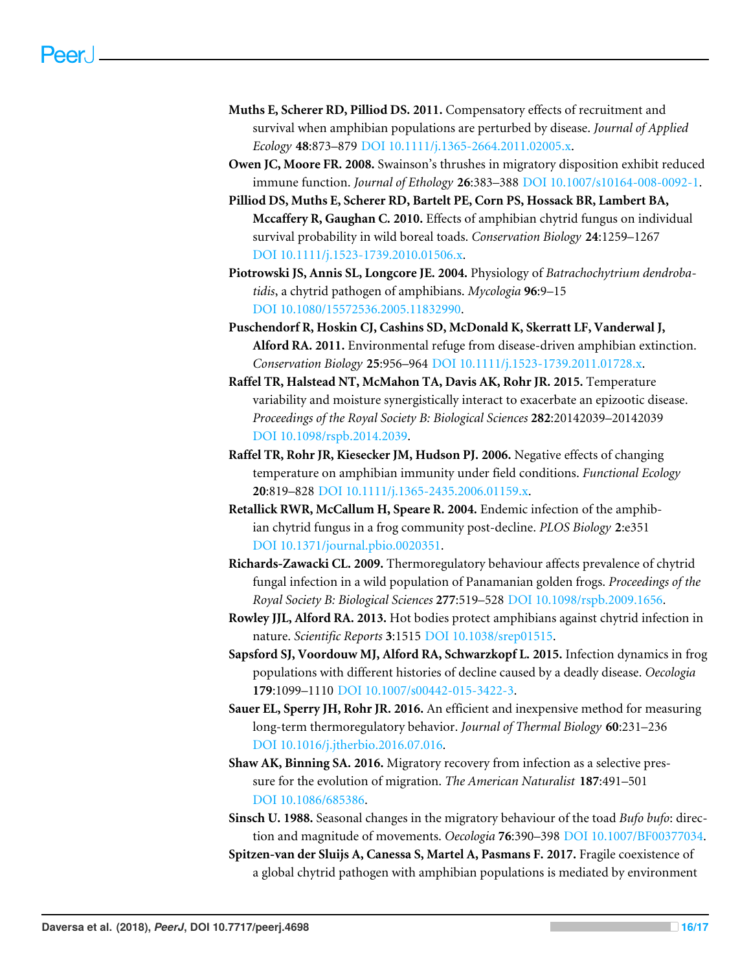- <span id="page-15-10"></span>**Muths E, Scherer RD, Pilliod DS. 2011.** Compensatory effects of recruitment and survival when amphibian populations are perturbed by disease. *Journal of Applied Ecology* **48**:873–879 [DOI 10.1111/j.1365-2664.2011.02005.x.](http://dx.doi.org/10.1111/j.1365-2664.2011.02005.x)
- <span id="page-15-0"></span>**Owen JC, Moore FR. 2008.** Swainson's thrushes in migratory disposition exhibit reduced immune function. *Journal of Ethology* **26**:383–388 [DOI 10.1007/s10164-008-0092-1.](http://dx.doi.org/10.1007/s10164-008-0092-1)
- <span id="page-15-9"></span>**Pilliod DS, Muths E, Scherer RD, Bartelt PE, Corn PS, Hossack BR, Lambert BA, Mccaffery R, Gaughan C. 2010.** Effects of amphibian chytrid fungus on individual survival probability in wild boreal toads. *Conservation Biology* **24**:1259–1267 [DOI 10.1111/j.1523-1739.2010.01506.x.](http://dx.doi.org/10.1111/j.1523-1739.2010.01506.x)
- <span id="page-15-6"></span>**Piotrowski JS, Annis SL, Longcore JE. 2004.** Physiology of *Batrachochytrium dendrobatidis*, a chytrid pathogen of amphibians. *Mycologia* **96**:9–15 [DOI 10.1080/15572536.2005.11832990.](http://dx.doi.org/10.1080/15572536.2005.11832990)
- <span id="page-15-12"></span>**Puschendorf R, Hoskin CJ, Cashins SD, McDonald K, Skerratt LF, Vanderwal J, Alford RA. 2011.** Environmental refuge from disease-driven amphibian extinction. *Conservation Biology* **25**:956–964 [DOI 10.1111/j.1523-1739.2011.01728.x.](http://dx.doi.org/10.1111/j.1523-1739.2011.01728.x)
- <span id="page-15-3"></span>**Raffel TR, Halstead NT, McMahon TA, Davis AK, Rohr JR. 2015.** Temperature variability and moisture synergistically interact to exacerbate an epizootic disease. *Proceedings of the Royal Society B: Biological Sciences* **282**:20142039–20142039 [DOI 10.1098/rspb.2014.2039.](http://dx.doi.org/10.1098/rspb.2014.2039)
- <span id="page-15-13"></span>**Raffel TR, Rohr JR, Kiesecker JM, Hudson PJ. 2006.** Negative effects of changing temperature on amphibian immunity under field conditions. *Functional Ecology* **20**:819–828 [DOI 10.1111/j.1365-2435.2006.01159.x.](http://dx.doi.org/10.1111/j.1365-2435.2006.01159.x)
- <span id="page-15-7"></span>**Retallick RWR, McCallum H, Speare R. 2004.** Endemic infection of the amphibian chytrid fungus in a frog community post-decline. *PLOS Biology* **2**:e351 [DOI 10.1371/journal.pbio.0020351.](http://dx.doi.org/10.1371/journal.pbio.0020351)
- <span id="page-15-4"></span>**Richards-Zawacki CL. 2009.** Thermoregulatory behaviour affects prevalence of chytrid fungal infection in a wild population of Panamanian golden frogs. *Proceedings of the Royal Society B: Biological Sciences* **277**:519–528 [DOI 10.1098/rspb.2009.1656.](http://dx.doi.org/10.1098/rspb.2009.1656)
- <span id="page-15-14"></span>**Rowley JJL, Alford RA. 2013.** Hot bodies protect amphibians against chytrid infection in nature. *Scientific Reports* **3**:1515 [DOI 10.1038/srep01515.](http://dx.doi.org/10.1038/srep01515)
- <span id="page-15-8"></span>**Sapsford SJ, Voordouw MJ, Alford RA, Schwarzkopf L. 2015.** Infection dynamics in frog populations with different histories of decline caused by a deadly disease. *Oecologia* **179**:1099–1110 [DOI 10.1007/s00442-015-3422-3.](http://dx.doi.org/10.1007/s00442-015-3422-3)
- <span id="page-15-5"></span>**Sauer EL, Sperry JH, Rohr JR. 2016.** An efficient and inexpensive method for measuring long-term thermoregulatory behavior. *Journal of Thermal Biology* **60**:231–236 [DOI 10.1016/j.jtherbio.2016.07.016.](http://dx.doi.org/10.1016/j.jtherbio.2016.07.016)
- <span id="page-15-2"></span>**Shaw AK, Binning SA. 2016.** Migratory recovery from infection as a selective pressure for the evolution of migration. *The American Naturalist* **187**:491–501 [DOI 10.1086/685386.](http://dx.doi.org/10.1086/685386)
- <span id="page-15-11"></span>**Sinsch U. 1988.** Seasonal changes in the migratory behaviour of the toad *Bufo bufo*: direction and magnitude of movements. *Oecologia* **76**:390–398 [DOI 10.1007/BF00377034.](http://dx.doi.org/10.1007/BF00377034)
- <span id="page-15-1"></span>**Spitzen-van der Sluijs A, Canessa S, Martel A, Pasmans F. 2017.** Fragile coexistence of a global chytrid pathogen with amphibian populations is mediated by environment